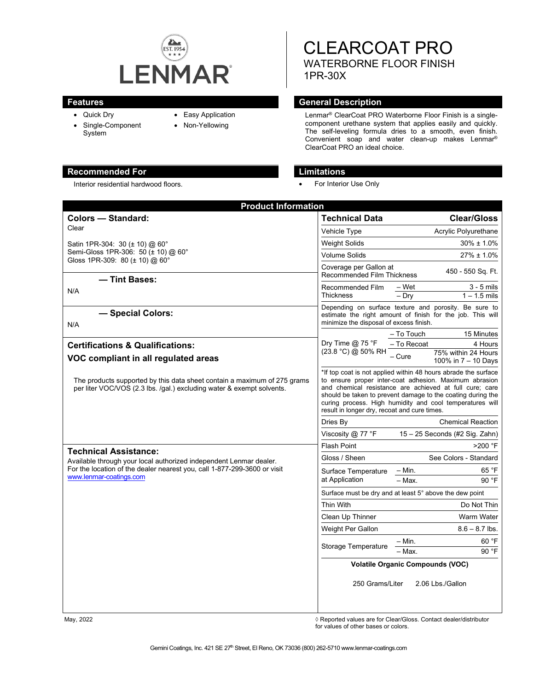

- Quick Dry
- Single-Component System
- Easy Application
- Non-Yellowing

# CLEARCOAT PRO WATERBORNE FLOOR FINISH 1PR-30X

#### **Features General Description**

Lenmar® ClearCoat PRO Waterborne Floor Finish is a singlecomponent urethane system that applies easily and quickly. The self-leveling formula dries to a smooth, even finish. Convenient soap and water clean-up makes Lenmar® ClearCoat PRO an ideal choice.

#### **Recommended For Limitations**

Interior residential hardwood floors. **•** For Interior Use Only

| <b>Product Information</b>                                                                                                                        |                                                                                                                                                                                                                                                                                                                                                                |                                            |
|---------------------------------------------------------------------------------------------------------------------------------------------------|----------------------------------------------------------------------------------------------------------------------------------------------------------------------------------------------------------------------------------------------------------------------------------------------------------------------------------------------------------------|--------------------------------------------|
| <b>Colors - Standard:</b>                                                                                                                         | <b>Technical Data</b><br><b>Clear/Gloss</b>                                                                                                                                                                                                                                                                                                                    |                                            |
| Clear                                                                                                                                             | Vehicle Type<br>Acrylic Polyurethane                                                                                                                                                                                                                                                                                                                           |                                            |
| Satin 1PR-304: 30 ( $\pm$ 10) @ 60°<br>Semi-Gloss 1PR-306: 50 (± 10) @ 60°<br>Gloss 1PR-309: 80 (± 10) @ 60°                                      | <b>Weight Solids</b><br>$30\% \pm 1.0\%$                                                                                                                                                                                                                                                                                                                       |                                            |
|                                                                                                                                                   | <b>Volume Solids</b><br>$27\% \pm 1.0\%$                                                                                                                                                                                                                                                                                                                       |                                            |
| - Tint Bases:                                                                                                                                     | Coverage per Gallon at<br>450 - 550 Sq. Ft.<br><b>Recommended Film Thickness</b>                                                                                                                                                                                                                                                                               |                                            |
| N/A                                                                                                                                               | Recommended Film<br>– Wet<br>$3 - 5$ mils                                                                                                                                                                                                                                                                                                                      |                                            |
|                                                                                                                                                   | $1 - 1.5$ mils<br><b>Thickness</b><br>$-$ Dry                                                                                                                                                                                                                                                                                                                  |                                            |
| - Special Colors:<br>N/A                                                                                                                          | Depending on surface texture and porosity. Be sure to<br>estimate the right amount of finish for the job. This will<br>minimize the disposal of excess finish.                                                                                                                                                                                                 |                                            |
|                                                                                                                                                   | – To Touch<br>15 Minutes                                                                                                                                                                                                                                                                                                                                       |                                            |
| <b>Certifications &amp; Qualifications:</b>                                                                                                       | Dry Time $@$ 75 °F<br>– To Recoat<br>4 Hours                                                                                                                                                                                                                                                                                                                   |                                            |
| VOC compliant in all regulated areas                                                                                                              | (23.8 °C) @ 50% RH<br>– Cure                                                                                                                                                                                                                                                                                                                                   | 75% within 24 Hours<br>100% in 7 - 10 Days |
| The products supported by this data sheet contain a maximum of 275 grams<br>per liter VOC/VOS (2.3 lbs. /gal.) excluding water & exempt solvents. | *If top coat is not applied within 48 hours abrade the surface<br>to ensure proper inter-coat adhesion. Maximum abrasion<br>and chemical resistance are achieved at full cure; care<br>should be taken to prevent damage to the coating during the<br>curing process. High humidity and cool temperatures will<br>result in longer dry, recoat and cure times. |                                            |
|                                                                                                                                                   | <b>Chemical Reaction</b><br>Dries By                                                                                                                                                                                                                                                                                                                           |                                            |
|                                                                                                                                                   | Viscosity @ 77 °F<br>15 - 25 Seconds (#2 Sig. Zahn)                                                                                                                                                                                                                                                                                                            |                                            |
| <b>Technical Assistance:</b>                                                                                                                      | <b>Flash Point</b><br>>200 °F                                                                                                                                                                                                                                                                                                                                  |                                            |
| Available through your local authorized independent Lenmar dealer.                                                                                | Gloss / Sheen<br>See Colors - Standard                                                                                                                                                                                                                                                                                                                         |                                            |
| For the location of the dealer nearest you, call 1-877-299-3600 or visit<br>www.lenmar-coatings.com                                               | 65 °F<br>$-$ Min.<br>Surface Temperature                                                                                                                                                                                                                                                                                                                       |                                            |
|                                                                                                                                                   | at Application<br>$-$ Max.<br>90 °F                                                                                                                                                                                                                                                                                                                            |                                            |
|                                                                                                                                                   | Surface must be dry and at least 5° above the dew point                                                                                                                                                                                                                                                                                                        |                                            |
|                                                                                                                                                   | Thin With<br>Do Not Thin                                                                                                                                                                                                                                                                                                                                       |                                            |
|                                                                                                                                                   | Clean Up Thinner<br>Warm Water                                                                                                                                                                                                                                                                                                                                 |                                            |
|                                                                                                                                                   | Weight Per Gallon<br>$8.6 - 8.7$ lbs.                                                                                                                                                                                                                                                                                                                          |                                            |
|                                                                                                                                                   | 60 °F<br>– Min.<br>Storage Temperature                                                                                                                                                                                                                                                                                                                         |                                            |
|                                                                                                                                                   | - Max.<br>90 °F                                                                                                                                                                                                                                                                                                                                                |                                            |
|                                                                                                                                                   | <b>Volatile Organic Compounds (VOC)</b>                                                                                                                                                                                                                                                                                                                        |                                            |
|                                                                                                                                                   | 250 Grams/Liter<br>2.06 Lbs./Gallon                                                                                                                                                                                                                                                                                                                            |                                            |

May, 2022 ◊ Reported values are for Clear/Gloss. Contact dealer/distributor for values of other bases or colors.